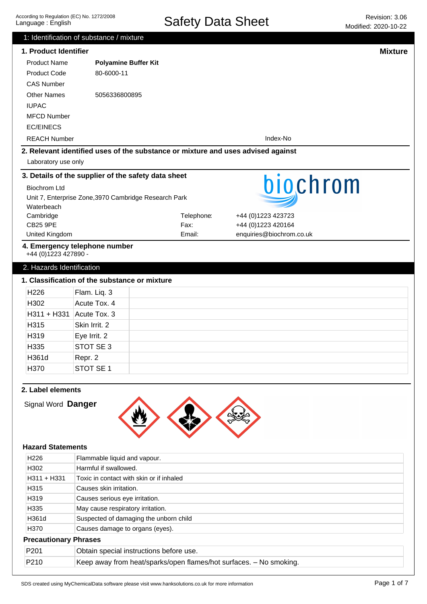|                              | 1: Identification of substance / mixture              |                                                                                  |                                                |                |
|------------------------------|-------------------------------------------------------|----------------------------------------------------------------------------------|------------------------------------------------|----------------|
| 1. Product Identifier        |                                                       |                                                                                  |                                                | <b>Mixture</b> |
| <b>Product Name</b>          | <b>Polyamine Buffer Kit</b>                           |                                                                                  |                                                |                |
| <b>Product Code</b>          | 80-6000-11                                            |                                                                                  |                                                |                |
| <b>CAS Number</b>            |                                                       |                                                                                  |                                                |                |
| <b>Other Names</b>           | 5056336800895                                         |                                                                                  |                                                |                |
| <b>IUPAC</b>                 |                                                       |                                                                                  |                                                |                |
| <b>MFCD Number</b>           |                                                       |                                                                                  |                                                |                |
| <b>EC/EINECS</b>             |                                                       |                                                                                  |                                                |                |
| <b>REACH Number</b>          |                                                       |                                                                                  | Index-No                                       |                |
|                              |                                                       | 2. Relevant identified uses of the substance or mixture and uses advised against |                                                |                |
| Laboratory use only          |                                                       |                                                                                  |                                                |                |
|                              | 3. Details of the supplier of the safety data sheet   |                                                                                  |                                                |                |
| <b>Biochrom Ltd</b>          |                                                       |                                                                                  | biochrom                                       |                |
|                              | Unit 7, Enterprise Zone, 3970 Cambridge Research Park |                                                                                  |                                                |                |
| Waterbeach                   |                                                       |                                                                                  |                                                |                |
| Cambridge<br><b>CB25 9PE</b> |                                                       | Telephone:<br>Fax:                                                               | +44 (0)1223 423723                             |                |
| United Kingdom               |                                                       | Email:                                                                           | +44 (0)1223 420164<br>enquiries@biochrom.co.uk |                |
| +44 (0)1223 427890 -         | 4. Emergency telephone number                         |                                                                                  |                                                |                |
| 2. Hazards Identification    |                                                       |                                                                                  |                                                |                |
|                              | 1. Classification of the substance or mixture         |                                                                                  |                                                |                |
| H <sub>226</sub>             | Flam. Liq. 3                                          |                                                                                  |                                                |                |
| H302                         | Acute Tox. 4                                          |                                                                                  |                                                |                |
| H311 + H331                  | Acute Tox. 3                                          |                                                                                  |                                                |                |
| H315                         | Skin Irrit. 2                                         |                                                                                  |                                                |                |
| H319                         |                                                       |                                                                                  |                                                |                |
|                              | Eye Irrit. 2                                          |                                                                                  |                                                |                |
| H <sub>335</sub>             | STOT SE 3                                             |                                                                                  |                                                |                |
| H361d                        | Repr. 2                                               |                                                                                  |                                                |                |
| H370                         | STOT SE 1                                             |                                                                                  |                                                |                |
| 2. Label elements            |                                                       |                                                                                  |                                                |                |
| Signal Word Danger           |                                                       |                                                                                  |                                                |                |
|                              |                                                       |                                                                                  |                                                |                |
|                              |                                                       |                                                                                  |                                                |                |
| <b>Hazard Statements</b>     |                                                       |                                                                                  |                                                |                |
| H226                         | Flammable liquid and vapour.                          |                                                                                  |                                                |                |
| H302                         | Harmful if swallowed.                                 |                                                                                  |                                                |                |
| H311 + H331                  | Toxic in contact with skin or if inhaled              |                                                                                  |                                                |                |
| H315                         | Causes skin irritation.                               |                                                                                  |                                                |                |
| H319                         | Causes serious eye irritation.                        |                                                                                  |                                                |                |
| H335                         | May cause respiratory irritation.                     |                                                                                  |                                                |                |
| H361d                        | Suspected of damaging the unborn child                |                                                                                  |                                                |                |
| H370                         | Causes damage to organs (eyes).                       |                                                                                  |                                                |                |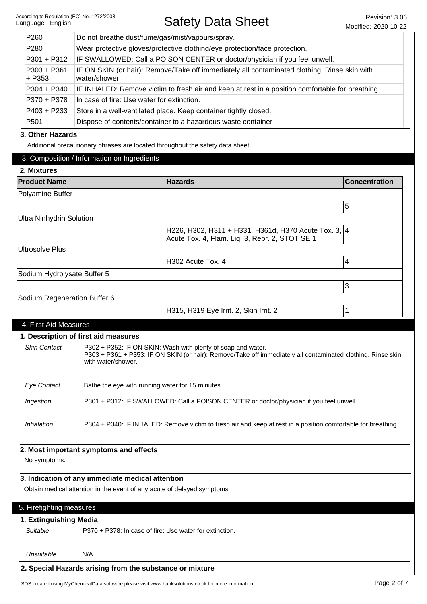| P <sub>260</sub>        | Do not breathe dust/fume/gas/mist/vapours/spray.                                                              |  |
|-------------------------|---------------------------------------------------------------------------------------------------------------|--|
| P <sub>280</sub>        | Wear protective gloves/protective clothing/eye protection/face protection.                                    |  |
| P301 + P312             | IF SWALLOWED: Call a POISON CENTER or doctor/physician if you feel unwell.                                    |  |
| $P303 + P361$<br>+ P353 | IF ON SKIN (or hair): Remove/Take off immediately all contaminated clothing. Rinse skin with<br>water/shower. |  |
| P304 + P340             | IF INHALED: Remove victim to fresh air and keep at rest in a position comfortable for breathing.              |  |
| P370 + P378             | In case of fire: Use water for extinction.                                                                    |  |
| P403 + P233             | Store in a well-ventilated place. Keep container tightly closed.                                              |  |
| P <sub>501</sub>        | Dispose of contents/container to a hazardous waste container                                                  |  |

#### **3. Other Hazards**

Additional precautionary phrases are located throughout the safety data sheet

| <b>Product Name</b>             |                                                  | <b>Hazards</b>                                                                                                | <b>Concentration</b> |
|---------------------------------|--------------------------------------------------|---------------------------------------------------------------------------------------------------------------|----------------------|
| Polyamine Buffer                |                                                  |                                                                                                               |                      |
|                                 |                                                  |                                                                                                               | 5                    |
| <b>Ultra Ninhydrin Solution</b> |                                                  |                                                                                                               |                      |
|                                 |                                                  | H226, H302, H311 + H331, H361d, H370 Acute Tox. 3, 4<br>Acute Tox. 4, Flam. Liq. 3, Repr. 2, STOT SE 1        |                      |
| <b>Ultrosolve Plus</b>          |                                                  |                                                                                                               |                      |
|                                 |                                                  | H302 Acute Tox. 4                                                                                             | 4                    |
| Sodium Hydrolysate Buffer 5     |                                                  |                                                                                                               |                      |
|                                 |                                                  |                                                                                                               | 3                    |
| Sodium Regeneration Buffer 6    |                                                  |                                                                                                               |                      |
|                                 |                                                  | H315, H319 Eye Irrit. 2, Skin Irrit. 2                                                                        | 1                    |
| 4. First Aid Measures           |                                                  |                                                                                                               |                      |
|                                 |                                                  |                                                                                                               |                      |
| <b>Skin Contact</b>             | 1. Description of first aid measures             | P302 + P352: IF ON SKIN: Wash with plenty of soap and water.                                                  |                      |
|                                 | with water/shower.                               | P303 + P361 + P353: IF ON SKIN (or hair): Remove/Take off immediately all contaminated clothing. Rinse skin   |                      |
| <b>Eye Contact</b>              |                                                  | Bathe the eye with running water for 15 minutes.                                                              |                      |
| Ingestion                       |                                                  | P301 + P312: IF SWALLOWED: Call a POISON CENTER or doctor/physician if you feel unwell.                       |                      |
| Inhalation                      |                                                  | P304 + P340: IF INHALED: Remove victim to fresh air and keep at rest in a position comfortable for breathing. |                      |
|                                 |                                                  |                                                                                                               |                      |
| No symptoms.                    | 2. Most important symptoms and effects           |                                                                                                               |                      |
|                                 |                                                  |                                                                                                               |                      |
|                                 | 3. Indication of any immediate medical attention |                                                                                                               |                      |
|                                 |                                                  | Obtain medical attention in the event of any acute of delayed symptoms                                        |                      |
| 5. Firefighting measures        |                                                  |                                                                                                               |                      |
| 1. Extinguishing Media          |                                                  |                                                                                                               |                      |
| Suitable                        |                                                  | P370 + P378: In case of fire: Use water for extinction.                                                       |                      |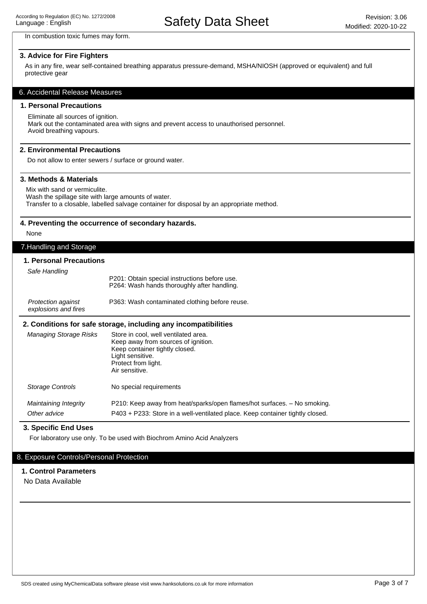In combustion toxic fumes may form.

#### **3. Advice for Fire Fighters**

As in any fire, wear self-contained breathing apparatus pressure-demand, MSHA/NIOSH (approved or equivalent) and full protective gear

#### 6. Accidental Release Measures

## **1. Personal Precautions**

Eliminate all sources of ignition. Mark out the contaminated area with signs and prevent access to unauthorised personnel. Avoid breathing vapours.

#### **2. Environmental Precautions**

Do not allow to enter sewers / surface or ground water.

#### **3. Methods & Materials**

Mix with sand or vermiculite. Wash the spillage site with large amounts of water. Transfer to a closable, labelled salvage container for disposal by an appropriate method.

#### **4. Preventing the occurrence of secondary hazards.**

None

# 7.Handling and Storage

#### **1. Personal Precautions**

Safe Handling

| P201: Obtain special instructions before use. |
|-----------------------------------------------|
| P264: Wash hands thoroughly after handling.   |
|                                               |

| <b>Protection against</b> | P363: Wash contaminated clothing before reuse. |
|---------------------------|------------------------------------------------|
| explosions and fires      |                                                |

#### **2. Conditions for safe storage, including any incompatibilities**

| <b>Managing Storage Risks</b>         | Store in cool, well ventilated area.<br>Keep away from sources of ignition.<br>Keep container tightly closed.<br>Light sensitive.<br>Protect from light.<br>Air sensitive. |
|---------------------------------------|----------------------------------------------------------------------------------------------------------------------------------------------------------------------------|
| Storage Controls                      | No special requirements                                                                                                                                                    |
| Maintaining Integrity<br>Other advice | P210: Keep away from heat/sparks/open flames/hot surfaces. – No smoking.<br>P403 + P233: Store in a well-ventilated place. Keep container tightly closed.                  |

# **3. Specific End Uses**

For laboratory use only. To be used with Biochrom Amino Acid Analyzers

## 8. Exposure Controls/Personal Protection

#### **1. Control Parameters**

No Data Available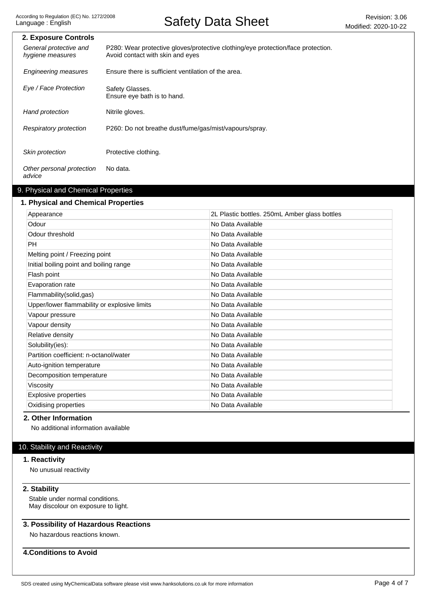| 2. Exposure Controls                       |                                                                                                                      |
|--------------------------------------------|----------------------------------------------------------------------------------------------------------------------|
| General protective and<br>hygiene measures | P280: Wear protective gloves/protective clothing/eye protection/face protection.<br>Avoid contact with skin and eyes |
| <b>Engineering measures</b>                | Ensure there is sufficient ventilation of the area.                                                                  |
| Eye / Face Protection                      | Safety Glasses.<br>Ensure eye bath is to hand.                                                                       |
| Hand protection                            | Nitrile gloves.                                                                                                      |
| Respiratory protection                     | P260: Do not breathe dust/fume/gas/mist/vapours/spray.                                                               |
| Skin protection                            | Protective clothing.                                                                                                 |
| Other personal protection<br>advice        | No data.                                                                                                             |

# 9. Physical and Chemical Properties

# **1. Physical and Chemical Properties**

| Appearance                                   | 2L Plastic bottles. 250mL Amber glass bottles |
|----------------------------------------------|-----------------------------------------------|
| Odour                                        | No Data Available                             |
| Odour threshold                              | No Data Available                             |
| <b>PH</b>                                    | No Data Available                             |
| Melting point / Freezing point               | No Data Available                             |
| Initial boiling point and boiling range      | No Data Available                             |
| Flash point                                  | No Data Available                             |
| Evaporation rate                             | No Data Available                             |
| Flammability(solid,gas)                      | No Data Available                             |
| Upper/lower flammability or explosive limits | No Data Available                             |
| Vapour pressure                              | No Data Available                             |
| Vapour density                               | No Data Available                             |
| Relative density                             | No Data Available                             |
| Solubility(ies):                             | No Data Available                             |
| Partition coefficient: n-octanol/water       | No Data Available                             |
| Auto-ignition temperature                    | No Data Available                             |
| Decomposition temperature                    | No Data Available                             |
| Viscosity                                    | No Data Available                             |
| Explosive properties                         | No Data Available                             |
| Oxidising properties                         | No Data Available                             |
|                                              |                                               |

## **2. Other Information**

No additional information available

# 10. Stability and Reactivity

## **1. Reactivity**

No unusual reactivity

### **2. Stability**

Stable under normal conditions. May discolour on exposure to light.

# **3. Possibility of Hazardous Reactions**

No hazardous reactions known.

## **4.Conditions to Avoid**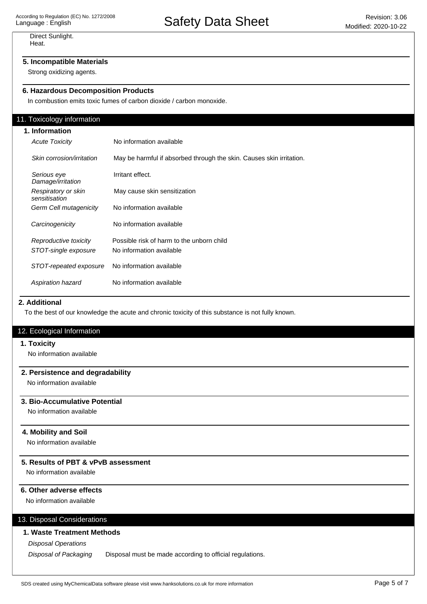Direct Sunlight. Heat.

# **5. Incompatible Materials**

Strong oxidizing agents.

# **6. Hazardous Decomposition Products**

In combustion emits toxic fumes of carbon dioxide / carbon monoxide.

### 11. Toxicology information

| 1. Information |                                      |                                                                      |
|----------------|--------------------------------------|----------------------------------------------------------------------|
|                | <b>Acute Toxicity</b>                | No information available                                             |
|                | Skin corrosion/irritation            | May be harmful if absorbed through the skin. Causes skin irritation. |
|                | Serious eye<br>Damage/irritation     | Irritant effect.                                                     |
|                | Respiratory or skin<br>sensitisation | May cause skin sensitization                                         |
|                | Germ Cell mutagenicity               | No information available                                             |
|                | Carcinogenicity                      | No information available                                             |
|                | Reproductive toxicity                | Possible risk of harm to the unborn child                            |
|                | STOT-single exposure                 | No information available                                             |
|                | STOT-repeated exposure               | No information available                                             |
|                | Aspiration hazard                    | No information available                                             |

## **2. Additional**

To the best of our knowledge the acute and chronic toxicity of this substance is not fully known.

## 12. Ecological Information

#### **1. Toxicity**

No information available

### **2. Persistence and degradability**

No information available

# **3. Bio-Accumulative Potential**

No information available

## **4. Mobility and Soil**

No information available

## **5. Results of PBT & vPvB assessment**

No information available

## **6. Other adverse effects**

No information available

# 13. Disposal Considerations

## **1. Waste Treatment Methods**

Disposal Operations

Disposal of Packaging Disposal must be made according to official regulations.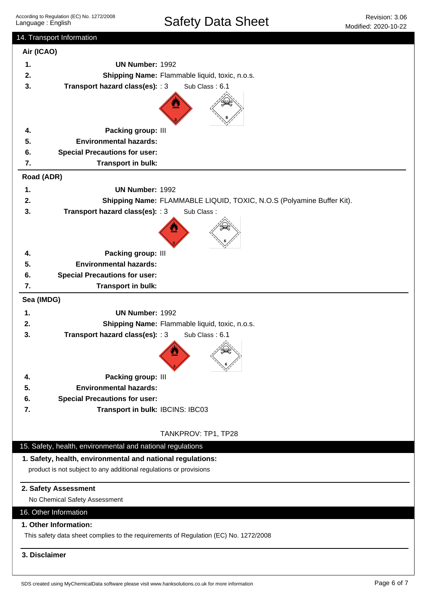| 14. Transport Information                                                                                                        |                                                                                                               |                                                                       |  |
|----------------------------------------------------------------------------------------------------------------------------------|---------------------------------------------------------------------------------------------------------------|-----------------------------------------------------------------------|--|
| Air (ICAO)                                                                                                                       |                                                                                                               |                                                                       |  |
| 1.                                                                                                                               | <b>UN Number: 1992</b>                                                                                        |                                                                       |  |
| 2.                                                                                                                               | Shipping Name: Flammable liquid, toxic, n.o.s.                                                                |                                                                       |  |
| 3.                                                                                                                               | Transport hazard class(es): : 3                                                                               | Sub Class: 6.1                                                        |  |
|                                                                                                                                  |                                                                                                               |                                                                       |  |
| 4.                                                                                                                               | Packing group: III                                                                                            |                                                                       |  |
| 5.                                                                                                                               | <b>Environmental hazards:</b>                                                                                 |                                                                       |  |
| 6.                                                                                                                               | <b>Special Precautions for user:</b>                                                                          |                                                                       |  |
| 7.                                                                                                                               | Transport in bulk:                                                                                            |                                                                       |  |
| Road (ADR)                                                                                                                       |                                                                                                               |                                                                       |  |
| 1.                                                                                                                               | <b>UN Number: 1992</b>                                                                                        |                                                                       |  |
| 2.                                                                                                                               |                                                                                                               | Shipping Name: FLAMMABLE LIQUID, TOXIC, N.O.S (Polyamine Buffer Kit). |  |
| 3.                                                                                                                               | Transport hazard class(es): : 3<br>Sub Class:                                                                 |                                                                       |  |
|                                                                                                                                  |                                                                                                               |                                                                       |  |
| 4.                                                                                                                               | Packing group: III                                                                                            |                                                                       |  |
| 5.                                                                                                                               | <b>Environmental hazards:</b>                                                                                 |                                                                       |  |
| 6.                                                                                                                               | <b>Special Precautions for user:</b>                                                                          |                                                                       |  |
| 7.                                                                                                                               | Transport in bulk:                                                                                            |                                                                       |  |
| Sea (IMDG)                                                                                                                       |                                                                                                               |                                                                       |  |
| 1.                                                                                                                               | <b>UN Number: 1992</b>                                                                                        |                                                                       |  |
| 2.                                                                                                                               | Shipping Name: Flammable liquid, toxic, n.o.s.                                                                |                                                                       |  |
| 3.                                                                                                                               | Transport hazard class(es): : 3                                                                               | Sub Class: 6.1                                                        |  |
|                                                                                                                                  |                                                                                                               |                                                                       |  |
| 4.                                                                                                                               | Packing group: III                                                                                            |                                                                       |  |
| 5.                                                                                                                               | <b>Environmental hazards:</b>                                                                                 |                                                                       |  |
| 6.                                                                                                                               | <b>Special Precautions for user:</b>                                                                          |                                                                       |  |
| 7.                                                                                                                               | Transport in bulk: IBCINS: IBC03                                                                              |                                                                       |  |
| TANKPROV: TP1, TP28                                                                                                              |                                                                                                               |                                                                       |  |
|                                                                                                                                  | 15. Safety, health, environmental and national regulations                                                    |                                                                       |  |
| 1. Safety, health, environmental and national regulations:<br>product is not subject to any additional regulations or provisions |                                                                                                               |                                                                       |  |
| 2. Safety Assessment<br>No Chemical Safety Assessment                                                                            |                                                                                                               |                                                                       |  |
|                                                                                                                                  | 16. Other Information                                                                                         |                                                                       |  |
|                                                                                                                                  | 1. Other Information:<br>This safety data sheet complies to the requirements of Regulation (EC) No. 1272/2008 |                                                                       |  |
|                                                                                                                                  |                                                                                                               |                                                                       |  |
| 3. Disclaimer                                                                                                                    |                                                                                                               |                                                                       |  |